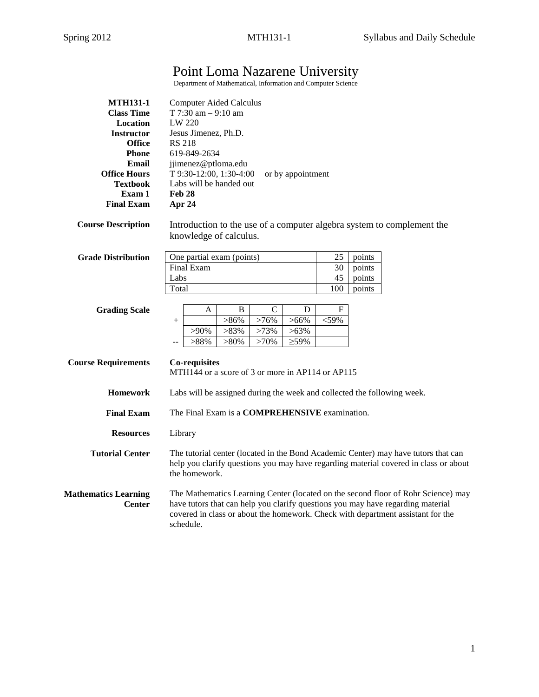# Point Loma Nazarene University

Department of Mathematical, Information and Computer Science

| <b>MTH131-1</b>                              | <b>Computer Aided Calculus</b>                                                                                                                                                                                                                                       |               |  |  |
|----------------------------------------------|----------------------------------------------------------------------------------------------------------------------------------------------------------------------------------------------------------------------------------------------------------------------|---------------|--|--|
| <b>Class Time</b>                            | T 7:30 am $-9:10$ am                                                                                                                                                                                                                                                 |               |  |  |
| Location                                     | LW 220                                                                                                                                                                                                                                                               |               |  |  |
| <b>Instructor</b>                            | Jesus Jimenez, Ph.D.                                                                                                                                                                                                                                                 |               |  |  |
| <b>Office</b>                                | <b>RS 218</b>                                                                                                                                                                                                                                                        |               |  |  |
| <b>Phone</b>                                 | 619-849-2634                                                                                                                                                                                                                                                         |               |  |  |
| Email                                        | jjimenez@ptloma.edu                                                                                                                                                                                                                                                  |               |  |  |
| <b>Office Hours</b>                          | T 9:30-12:00, 1:30-4:00<br>or by appointment                                                                                                                                                                                                                         |               |  |  |
| <b>Textbook</b>                              | Labs will be handed out                                                                                                                                                                                                                                              |               |  |  |
| Exam 1                                       | <b>Feb 28</b>                                                                                                                                                                                                                                                        |               |  |  |
| <b>Final Exam</b>                            | Apr 24                                                                                                                                                                                                                                                               |               |  |  |
| <b>Course Description</b>                    | Introduction to the use of a computer algebra system to complement the<br>knowledge of calculus.                                                                                                                                                                     |               |  |  |
| <b>Grade Distribution</b>                    | One partial exam (points)                                                                                                                                                                                                                                            | 25<br>points  |  |  |
|                                              | <b>Final Exam</b>                                                                                                                                                                                                                                                    | 30<br>points  |  |  |
|                                              | Labs                                                                                                                                                                                                                                                                 | 45<br>points  |  |  |
|                                              | Total                                                                                                                                                                                                                                                                | 100<br>points |  |  |
|                                              |                                                                                                                                                                                                                                                                      |               |  |  |
| <b>Grading Scale</b>                         | $\mathcal{C}$<br>В<br>D<br>A                                                                                                                                                                                                                                         | F             |  |  |
|                                              | $>86\%$<br>>76%<br>$>66\%$<br>$^{+}$                                                                                                                                                                                                                                 | $<$ 59%       |  |  |
|                                              | $>90\%$<br>>83%<br>>73%<br>$>63\%$                                                                                                                                                                                                                                   |               |  |  |
|                                              | >88%<br>$>80\%$<br>>70%<br>$\geq$ 59%<br>$-$                                                                                                                                                                                                                         |               |  |  |
|                                              |                                                                                                                                                                                                                                                                      |               |  |  |
|                                              |                                                                                                                                                                                                                                                                      |               |  |  |
| <b>Course Requirements</b>                   | <b>Co-requisites</b><br>MTH144 or a score of 3 or more in AP114 or AP115                                                                                                                                                                                             |               |  |  |
|                                              |                                                                                                                                                                                                                                                                      |               |  |  |
| <b>Homework</b>                              | Labs will be assigned during the week and collected the following week.                                                                                                                                                                                              |               |  |  |
| <b>Final Exam</b>                            |                                                                                                                                                                                                                                                                      |               |  |  |
|                                              | The Final Exam is a <b>COMPREHENSIVE</b> examination.                                                                                                                                                                                                                |               |  |  |
| <b>Resources</b>                             | Library                                                                                                                                                                                                                                                              |               |  |  |
|                                              |                                                                                                                                                                                                                                                                      |               |  |  |
| <b>Tutorial Center</b>                       | The tutorial center (located in the Bond Academic Center) may have tutors that can<br>help you clarify questions you may have regarding material covered in class or about<br>the homework.                                                                          |               |  |  |
| <b>Mathematics Learning</b><br><b>Center</b> | The Mathematics Learning Center (located on the second floor of Rohr Science) may<br>have tutors that can help you clarify questions you may have regarding material<br>covered in class or about the homework. Check with department assistant for the<br>schedule. |               |  |  |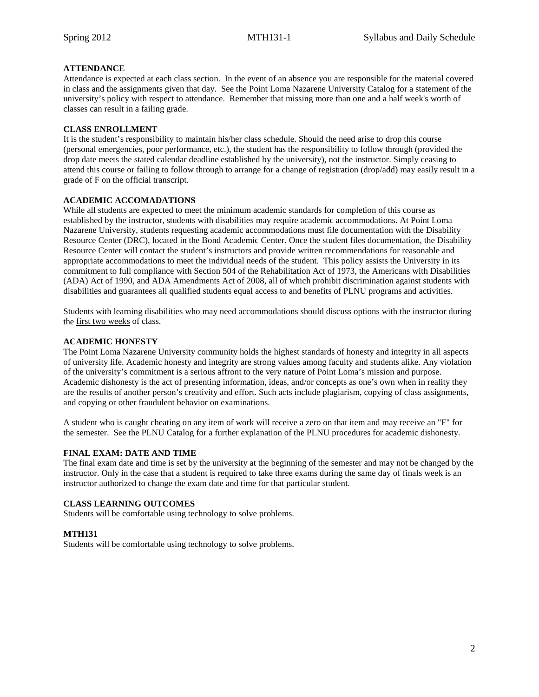## **ATTENDANCE**

Attendance is expected at each class section. In the event of an absence you are responsible for the material covered in class and the assignments given that day. See the Point Loma Nazarene University Catalog for a statement of the university's policy with respect to attendance. Remember that missing more than one and a half week's worth of classes can result in a failing grade.

## **CLASS ENROLLMENT**

It is the student's responsibility to maintain his/her class schedule. Should the need arise to drop this course (personal emergencies, poor performance, etc.), the student has the responsibility to follow through (provided the drop date meets the stated calendar deadline established by the university), not the instructor. Simply ceasing to attend this course or failing to follow through to arrange for a change of registration (drop/add) may easily result in a grade of F on the official transcript.

## **ACADEMIC ACCOMADATIONS**

While all students are expected to meet the minimum academic standards for completion of this course as established by the instructor, students with disabilities may require academic accommodations. At Point Loma Nazarene University, students requesting academic accommodations must file documentation with the Disability Resource Center (DRC), located in the Bond Academic Center. Once the student files documentation, the Disability Resource Center will contact the student's instructors and provide written recommendations for reasonable and appropriate accommodations to meet the individual needs of the student. This policy assists the University in its commitment to full compliance with Section 504 of the Rehabilitation Act of 1973, the Americans with Disabilities (ADA) Act of 1990, and ADA Amendments Act of 2008, all of which prohibit discrimination against students with disabilities and guarantees all qualified students equal access to and benefits of PLNU programs and activities.

Students with learning disabilities who may need accommodations should discuss options with the instructor during the first two weeks of class.

## **ACADEMIC HONESTY**

The Point Loma Nazarene University community holds the highest standards of honesty and integrity in all aspects of university life. Academic honesty and integrity are strong values among faculty and students alike. Any violation of the university's commitment is a serious affront to the very nature of Point Loma's mission and purpose. Academic dishonesty is the act of presenting information, ideas, and/or concepts as one's own when in reality they are the results of another person's creativity and effort. Such acts include plagiarism, copying of class assignments, and copying or other fraudulent behavior on examinations.

A student who is caught cheating on any item of work will receive a zero on that item and may receive an "F" for the semester. See the PLNU Catalog for a further explanation of the PLNU procedures for academic dishonesty.

## **FINAL EXAM: DATE AND TIME**

The final exam date and time is set by the university at the beginning of the semester and may not be changed by the instructor. Only in the case that a student is required to take three exams during the same day of finals week is an instructor authorized to change the exam date and time for that particular student.

## **CLASS LEARNING OUTCOMES**

Students will be comfortable using technology to solve problems.

## **MTH131**

Students will be comfortable using technology to solve problems.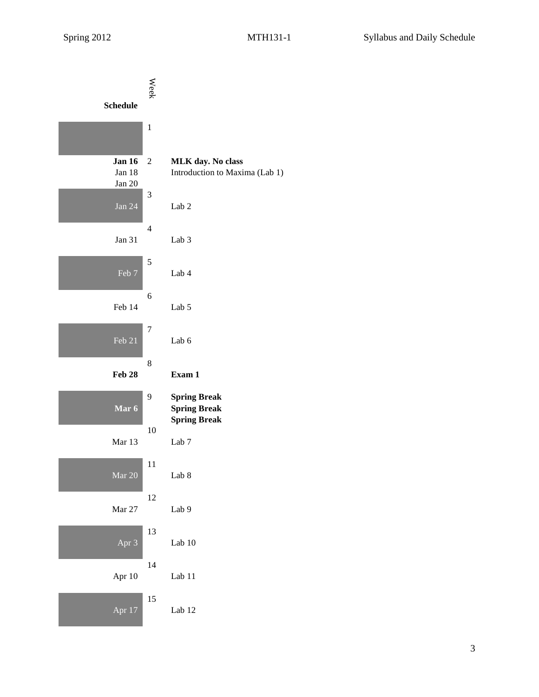| <b>Schedule</b>                   | <b>Week</b>    |                                                                   |
|-----------------------------------|----------------|-------------------------------------------------------------------|
|                                   | $\mathbf{1}$   |                                                                   |
| <b>Jan 16</b><br>Jan 18<br>Jan 20 | $\overline{c}$ | MLK day. No class<br>Introduction to Maxima (Lab 1)               |
| Jan 24                            | 3              | Lab <sub>2</sub>                                                  |
| Jan 31                            | 4              | Lab <sub>3</sub>                                                  |
| Feb 7                             | 5              | Lab 4                                                             |
| Feb 14                            | 6              | Lab 5                                                             |
| Feb 21                            | $\overline{7}$ | Lab 6                                                             |
| Feb 28                            | 8              | Exam 1                                                            |
| Mar 6                             | 9              | <b>Spring Break</b><br><b>Spring Break</b><br><b>Spring Break</b> |
| Mar 13                            | 10             | Lab <sub>7</sub>                                                  |
| Mar 20                            | 11             | Lab 8                                                             |
| Mar 27                            | 12             | Lab 9                                                             |
| $\overline{Apr}$ 3                | 13             | Lab $10$                                                          |
| Apr 10                            | 14             | Lab 11                                                            |
| Apr 17                            | 15             | Lab 12                                                            |